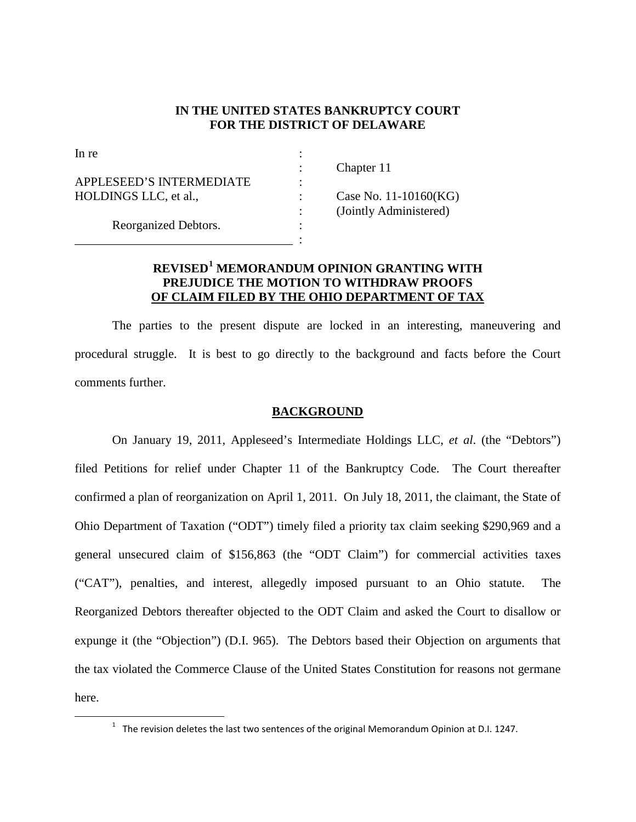## **IN THE UNITED STATES BANKRUPTCY COURT FOR THE DISTRICT OF DELAWARE**

| In re                    |                        |
|--------------------------|------------------------|
|                          | Chapter 11             |
| APPLESEED'S INTERMEDIATE |                        |
| HOLDINGS LLC, et al.,    | Case No. 11-10160(KG)  |
|                          | (Jointly Administered) |
| Reorganized Debtors.     |                        |
|                          |                        |

## **REVISED<sup>1</sup> MEMORANDUM OPINION GRANTING WITH PREJUDICE THE MOTION TO WITHDRAW PROOFS OF CLAIM FILED BY THE OHIO DEPARTMENT OF TAX**

The parties to the present dispute are locked in an interesting, maneuvering and procedural struggle. It is best to go directly to the background and facts before the Court comments further.

## **BACKGROUND**

On January 19, 2011, Appleseed's Intermediate Holdings LLC, *et al*. (the "Debtors") filed Petitions for relief under Chapter 11 of the Bankruptcy Code. The Court thereafter confirmed a plan of reorganization on April 1, 2011. On July 18, 2011, the claimant, the State of Ohio Department of Taxation ("ODT") timely filed a priority tax claim seeking \$290,969 and a general unsecured claim of \$156,863 (the "ODT Claim") for commercial activities taxes ("CAT"), penalties, and interest, allegedly imposed pursuant to an Ohio statute. The Reorganized Debtors thereafter objected to the ODT Claim and asked the Court to disallow or expunge it (the "Objection") (D.I. 965). The Debtors based their Objection on arguments that the tax violated the Commerce Clause of the United States Constitution for reasons not germane here.

 $1$  The revision deletes the last two sentences of the original Memorandum Opinion at D.I. 1247.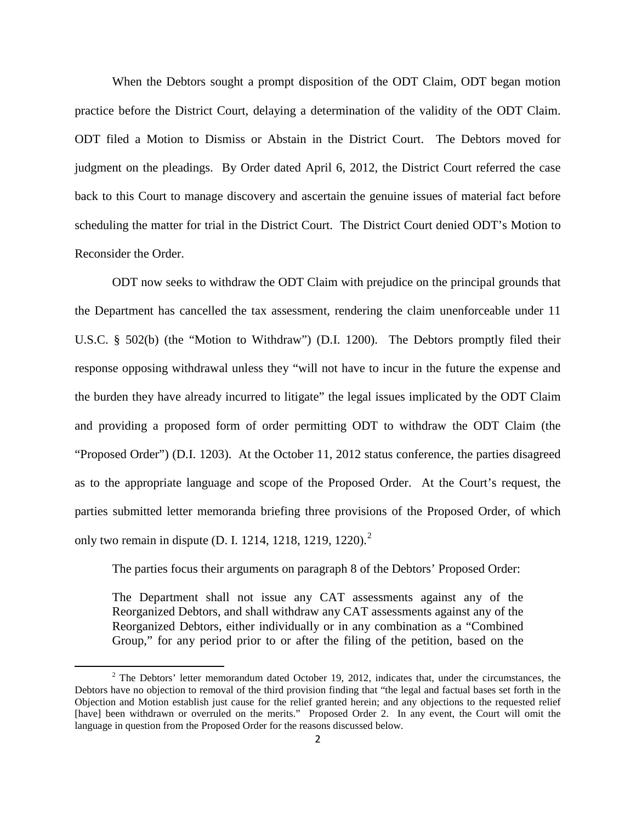When the Debtors sought a prompt disposition of the ODT Claim, ODT began motion practice before the District Court, delaying a determination of the validity of the ODT Claim. ODT filed a Motion to Dismiss or Abstain in the District Court. The Debtors moved for judgment on the pleadings. By Order dated April 6, 2012, the District Court referred the case back to this Court to manage discovery and ascertain the genuine issues of material fact before scheduling the matter for trial in the District Court. The District Court denied ODT's Motion to Reconsider the Order.

ODT now seeks to withdraw the ODT Claim with prejudice on the principal grounds that the Department has cancelled the tax assessment, rendering the claim unenforceable under 11 U.S.C. § 502(b) (the "Motion to Withdraw") (D.I. 1200). The Debtors promptly filed their response opposing withdrawal unless they "will not have to incur in the future the expense and the burden they have already incurred to litigate" the legal issues implicated by the ODT Claim and providing a proposed form of order permitting ODT to withdraw the ODT Claim (the "Proposed Order") (D.I. 1203). At the October 11, 2012 status conference, the parties disagreed as to the appropriate language and scope of the Proposed Order. At the Court's request, the parties submitted letter memoranda briefing three provisions of the Proposed Order, of which only two remain in dispute (D. I. 1214, 1218, 1219, 1220).<sup>2</sup>

The parties focus their arguments on paragraph 8 of the Debtors' Proposed Order:

The Department shall not issue any CAT assessments against any of the Reorganized Debtors, and shall withdraw any CAT assessments against any of the Reorganized Debtors, either individually or in any combination as a "Combined Group," for any period prior to or after the filing of the petition, based on the

 $\overline{\phantom{0}}$ 

 $2$  The Debtors' letter memorandum dated October 19, 2012, indicates that, under the circumstances, the Debtors have no objection to removal of the third provision finding that "the legal and factual bases set forth in the Objection and Motion establish just cause for the relief granted herein; and any objections to the requested relief [have] been withdrawn or overruled on the merits." Proposed Order 2. In any event, the Court will omit the language in question from the Proposed Order for the reasons discussed below.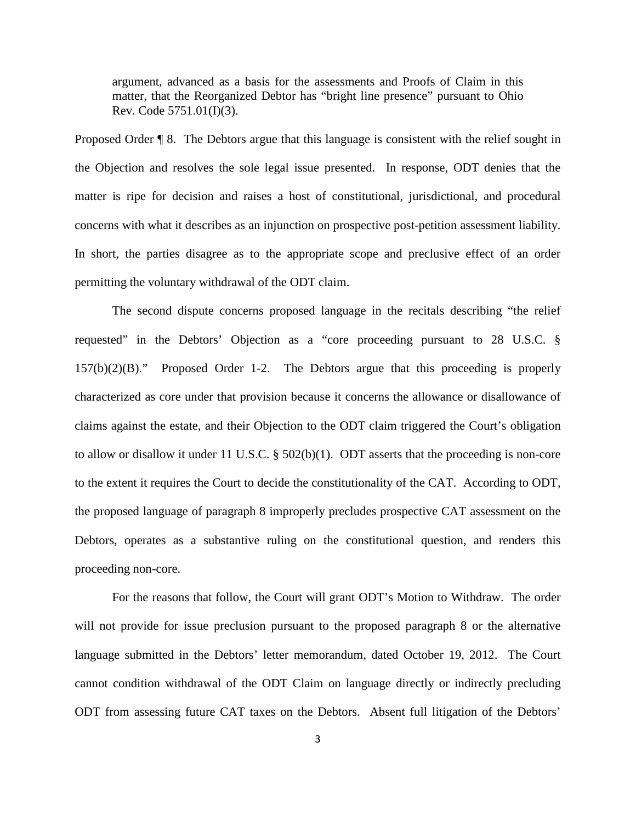argument, advanced as a basis for the assessments and Proofs of Claim in this matter, that the Reorganized Debtor has "bright line presence" pursuant to Ohio Rev. Code 5751.01(I)(3).

Proposed Order ¶ 8. The Debtors argue that this language is consistent with the relief sought in the Objection and resolves the sole legal issue presented. In response, ODT denies that the matter is ripe for decision and raises a host of constitutional, jurisdictional, and procedural concerns with what it describes as an injunction on prospective post-petition assessment liability. In short, the parties disagree as to the appropriate scope and preclusive effect of an order permitting the voluntary withdrawal of the ODT claim.

The second dispute concerns proposed language in the recitals describing "the relief requested" in the Debtors' Objection as a "core proceeding pursuant to 28 U.S.C. § 157(b)(2)(B)." Proposed Order 1-2. The Debtors argue that this proceeding is properly characterized as core under that provision because it concerns the allowance or disallowance of claims against the estate, and their Objection to the ODT claim triggered the Court's obligation to allow or disallow it under 11 U.S.C.  $\S$  502(b)(1). ODT asserts that the proceeding is non-core to the extent it requires the Court to decide the constitutionality of the CAT. According to ODT, the proposed language of paragraph 8 improperly precludes prospective CAT assessment on the Debtors, operates as a substantive ruling on the constitutional question, and renders this proceeding non-core.

For the reasons that follow, the Court will grant ODT's Motion to Withdraw. The order will not provide for issue preclusion pursuant to the proposed paragraph 8 or the alternative language submitted in the Debtors' letter memorandum, dated October 19, 2012. The Court cannot condition withdrawal of the ODT Claim on language directly or indirectly precluding ODT from assessing future CAT taxes on the Debtors. Absent full litigation of the Debtors'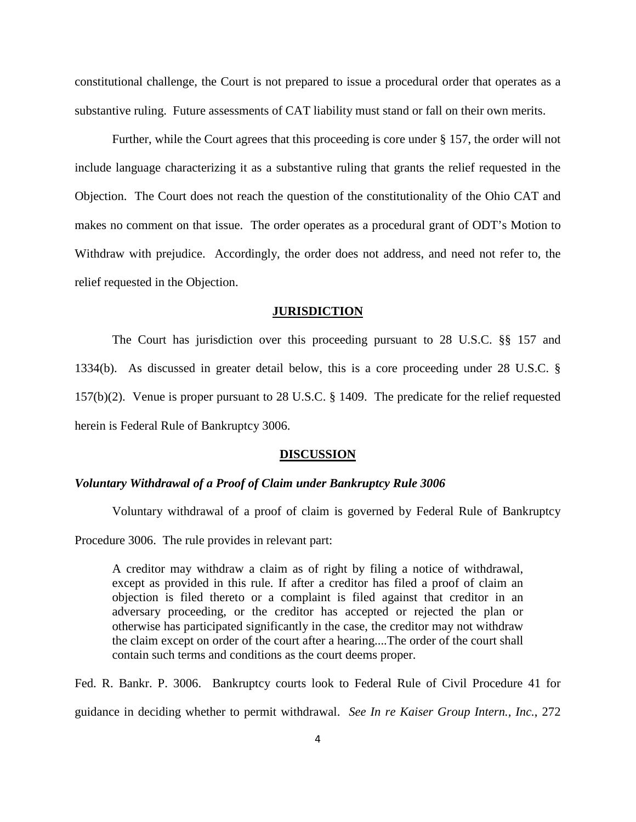constitutional challenge, the Court is not prepared to issue a procedural order that operates as a substantive ruling. Future assessments of CAT liability must stand or fall on their own merits.

Further, while the Court agrees that this proceeding is core under § 157, the order will not include language characterizing it as a substantive ruling that grants the relief requested in the Objection. The Court does not reach the question of the constitutionality of the Ohio CAT and makes no comment on that issue. The order operates as a procedural grant of ODT's Motion to Withdraw with prejudice. Accordingly, the order does not address, and need not refer to, the relief requested in the Objection.

#### **JURISDICTION**

The Court has jurisdiction over this proceeding pursuant to 28 U.S.C. §§ 157 and 1334(b). As discussed in greater detail below, this is a core proceeding under 28 U.S.C. § 157(b)(2). Venue is proper pursuant to 28 U.S.C. § 1409. The predicate for the relief requested herein is Federal Rule of Bankruptcy 3006.

#### **DISCUSSION**

#### *Voluntary Withdrawal of a Proof of Claim under Bankruptcy Rule 3006*

Voluntary withdrawal of a proof of claim is governed by Federal Rule of Bankruptcy Procedure 3006. The rule provides in relevant part:

A creditor may withdraw a claim as of right by filing a notice of withdrawal, except as provided in this rule. If after a creditor has filed a proof of claim an objection is filed thereto or a complaint is filed against that creditor in an adversary proceeding, or the creditor has accepted or rejected the plan or otherwise has participated significantly in the case, the creditor may not withdraw the claim except on order of the court after a hearing....The order of the court shall contain such terms and conditions as the court deems proper.

Fed. R. Bankr. P. 3006. Bankruptcy courts look to Federal Rule of Civil Procedure 41 for guidance in deciding whether to permit withdrawal. *See In re Kaiser Group Intern., Inc.*, 272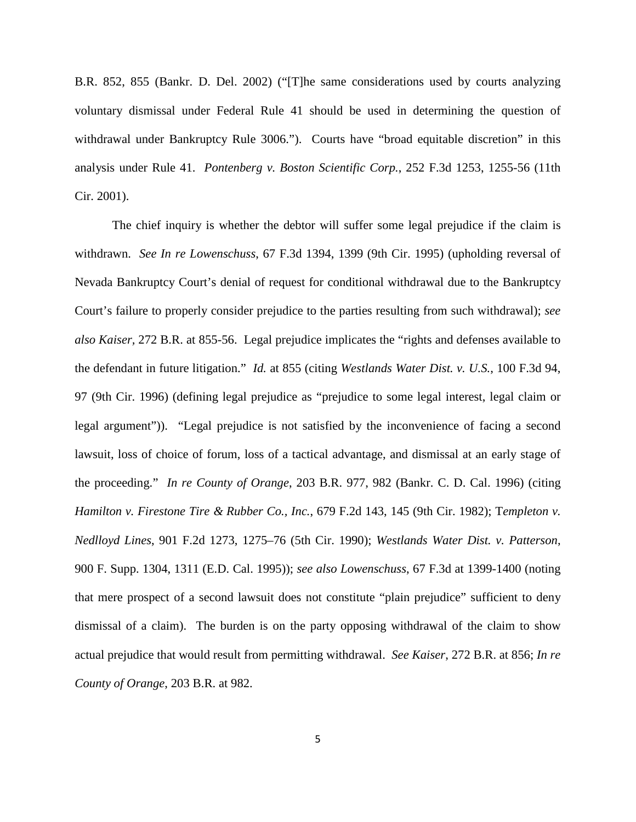B.R. 852, 855 (Bankr. D. Del. 2002) ("[T]he same considerations used by courts analyzing voluntary dismissal under Federal Rule 41 should be used in determining the question of withdrawal under Bankruptcy Rule 3006."). Courts have "broad equitable discretion" in this analysis under Rule 41. *Pontenberg v. Boston Scientific Corp.*, 252 F.3d 1253, 1255-56 (11th Cir. 2001).

The chief inquiry is whether the debtor will suffer some legal prejudice if the claim is withdrawn. *See In re Lowenschuss*, 67 F.3d 1394, 1399 (9th Cir. 1995) (upholding reversal of Nevada Bankruptcy Court's denial of request for conditional withdrawal due to the Bankruptcy Court's failure to properly consider prejudice to the parties resulting from such withdrawal); *see also Kaiser,* 272 B.R. at 855-56. Legal prejudice implicates the "rights and defenses available to the defendant in future litigation." *Id.* at 855 (citing *Westlands Water Dist. v. U.S.*, 100 F.3d 94, 97 (9th Cir. 1996) (defining legal prejudice as "prejudice to some legal interest, legal claim or legal argument")). "Legal prejudice is not satisfied by the inconvenience of facing a second lawsuit, loss of choice of forum, loss of a tactical advantage, and dismissal at an early stage of the proceeding." *In re County of Orange*, 203 B.R. 977, 982 (Bankr. C. D. Cal. 1996) (citing *Hamilton v. Firestone Tire & Rubber Co., Inc.*, 679 F.2d 143, 145 (9th Cir. 1982); T*empleton v. Nedlloyd Lines*, 901 F.2d 1273, 1275–76 (5th Cir. 1990); *Westlands Water Dist. v. Patterson*, 900 F. Supp. 1304, 1311 (E.D. Cal. 1995)); *see also Lowenschuss*, 67 F.3d at 1399-1400 (noting that mere prospect of a second lawsuit does not constitute "plain prejudice" sufficient to deny dismissal of a claim). The burden is on the party opposing withdrawal of the claim to show actual prejudice that would result from permitting withdrawal. *See Kaiser*, 272 B.R. at 856; *In re County of Orange*, 203 B.R. at 982.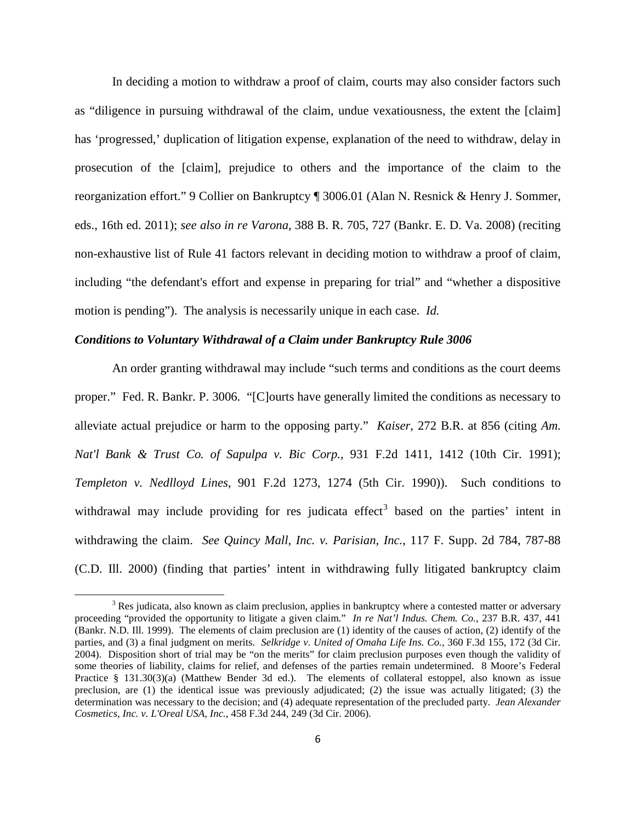In deciding a motion to withdraw a proof of claim, courts may also consider factors such as "diligence in pursuing withdrawal of the claim, undue vexatiousness, the extent the [claim] has 'progressed,' duplication of litigation expense, explanation of the need to withdraw, delay in prosecution of the [claim], prejudice to others and the importance of the claim to the reorganization effort." 9 Collier on Bankruptcy ¶ 3006.01 (Alan N. Resnick & Henry J. Sommer, eds., 16th ed. 2011); *see also in re Varona*, 388 B. R. 705, 727 (Bankr. E. D. Va. 2008) (reciting non-exhaustive list of Rule 41 factors relevant in deciding motion to withdraw a proof of claim, including "the defendant's effort and expense in preparing for trial" and "whether a dispositive motion is pending"). The analysis is necessarily unique in each case. *Id.*

### *Conditions to Voluntary Withdrawal of a Claim under Bankruptcy Rule 3006*

 $\overline{\phantom{0}}$ 

An order granting withdrawal may include "such terms and conditions as the court deems proper." Fed. R. Bankr. P. 3006. "[C]ourts have generally limited the conditions as necessary to alleviate actual prejudice or harm to the opposing party." *Kaiser*, 272 B.R. at 856 (citing *Am. Nat'l Bank & Trust Co. of Sapulpa v. Bic Corp.*, 931 F.2d 1411, 1412 (10th Cir. 1991); *Templeton v. Nedlloyd Lines*, 901 F.2d 1273, 1274 (5th Cir. 1990)). Such conditions to withdrawal may include providing for res judicata effect<sup>3</sup> based on the parties' intent in withdrawing the claim. *See Quincy Mall, Inc. v. Parisian, Inc.*, 117 F. Supp. 2d 784, 787-88 (C.D. Ill. 2000) (finding that parties' intent in withdrawing fully litigated bankruptcy claim

<sup>&</sup>lt;sup>3</sup> Res judicata, also known as claim preclusion, applies in bankruptcy where a contested matter or adversary proceeding "provided the opportunity to litigate a given claim." *In re Nat'l Indus. Chem. Co.*, 237 B.R. 437, 441 (Bankr. N.D. Ill. 1999). The elements of claim preclusion are (1) identity of the causes of action, (2) identify of the parties, and (3) a final judgment on merits. *Selkridge v. United of Omaha Life Ins. Co.*, 360 F.3d 155, 172 (3d Cir. 2004). Disposition short of trial may be "on the merits" for claim preclusion purposes even though the validity of some theories of liability, claims for relief, and defenses of the parties remain undetermined. 8 Moore's Federal Practice § 131.30(3)(a) (Matthew Bender 3d ed.). The elements of collateral estoppel, also known as issue preclusion, are (1) the identical issue was previously adjudicated; (2) the issue was actually litigated; (3) the determination was necessary to the decision; and (4) adequate representation of the precluded party. *Jean Alexander Cosmetics, Inc. v. L'Oreal USA, Inc.*, 458 F.3d 244, 249 (3d Cir. 2006).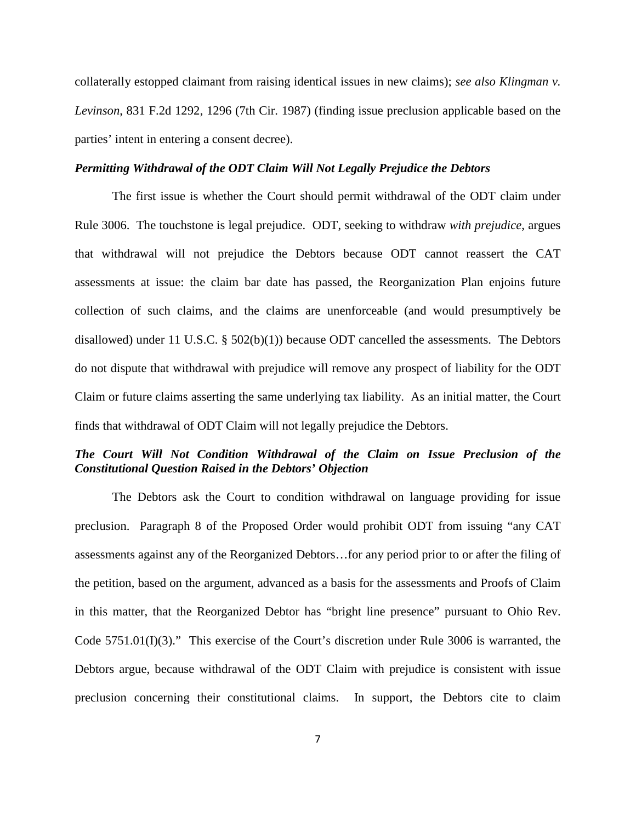collaterally estopped claimant from raising identical issues in new claims); *see also Klingman v. Levinson*, 831 F.2d 1292, 1296 (7th Cir. 1987) (finding issue preclusion applicable based on the parties' intent in entering a consent decree).

### *Permitting Withdrawal of the ODT Claim Will Not Legally Prejudice the Debtors*

The first issue is whether the Court should permit withdrawal of the ODT claim under Rule 3006. The touchstone is legal prejudice. ODT, seeking to withdraw *with prejudice*, argues that withdrawal will not prejudice the Debtors because ODT cannot reassert the CAT assessments at issue: the claim bar date has passed, the Reorganization Plan enjoins future collection of such claims, and the claims are unenforceable (and would presumptively be disallowed) under 11 U.S.C. § 502(b)(1)) because ODT cancelled the assessments. The Debtors do not dispute that withdrawal with prejudice will remove any prospect of liability for the ODT Claim or future claims asserting the same underlying tax liability. As an initial matter, the Court finds that withdrawal of ODT Claim will not legally prejudice the Debtors.

## *The Court Will Not Condition Withdrawal of the Claim on Issue Preclusion of the Constitutional Question Raised in the Debtors' Objection*

The Debtors ask the Court to condition withdrawal on language providing for issue preclusion. Paragraph 8 of the Proposed Order would prohibit ODT from issuing "any CAT assessments against any of the Reorganized Debtors…for any period prior to or after the filing of the petition, based on the argument, advanced as a basis for the assessments and Proofs of Claim in this matter, that the Reorganized Debtor has "bright line presence" pursuant to Ohio Rev. Code 5751.01(I)(3)." This exercise of the Court's discretion under Rule 3006 is warranted, the Debtors argue, because withdrawal of the ODT Claim with prejudice is consistent with issue preclusion concerning their constitutional claims. In support, the Debtors cite to claim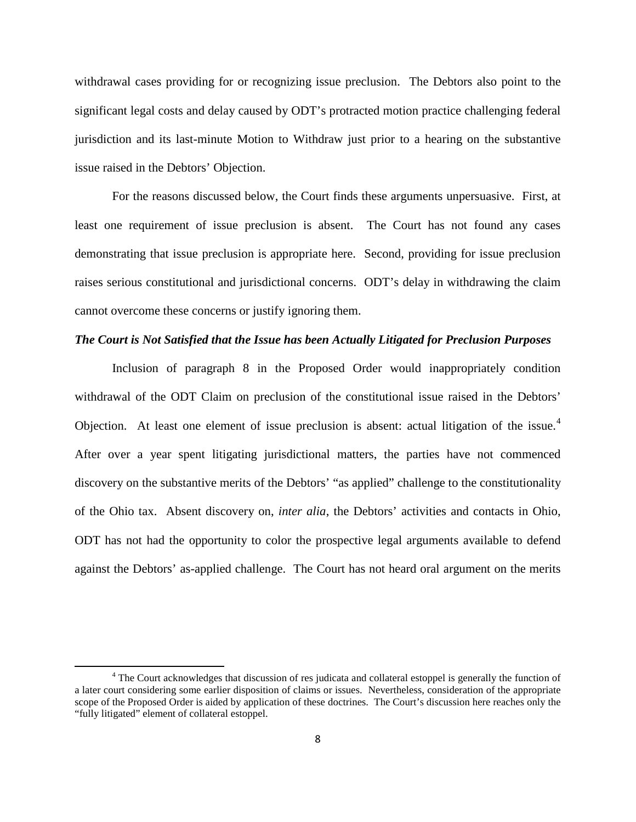withdrawal cases providing for or recognizing issue preclusion. The Debtors also point to the significant legal costs and delay caused by ODT's protracted motion practice challenging federal jurisdiction and its last-minute Motion to Withdraw just prior to a hearing on the substantive issue raised in the Debtors' Objection.

For the reasons discussed below, the Court finds these arguments unpersuasive. First, at least one requirement of issue preclusion is absent. The Court has not found any cases demonstrating that issue preclusion is appropriate here. Second, providing for issue preclusion raises serious constitutional and jurisdictional concerns. ODT's delay in withdrawing the claim cannot overcome these concerns or justify ignoring them.

### *The Court is Not Satisfied that the Issue has been Actually Litigated for Preclusion Purposes*

Inclusion of paragraph 8 in the Proposed Order would inappropriately condition withdrawal of the ODT Claim on preclusion of the constitutional issue raised in the Debtors' Objection. At least one element of issue preclusion is absent: actual litigation of the issue.<sup>4</sup> After over a year spent litigating jurisdictional matters, the parties have not commenced discovery on the substantive merits of the Debtors' "as applied" challenge to the constitutionality of the Ohio tax. Absent discovery on, *inter alia*, the Debtors' activities and contacts in Ohio, ODT has not had the opportunity to color the prospective legal arguments available to defend against the Debtors' as-applied challenge. The Court has not heard oral argument on the merits

 $\overline{\phantom{0}}$ 

<sup>&</sup>lt;sup>4</sup> The Court acknowledges that discussion of res judicata and collateral estoppel is generally the function of a later court considering some earlier disposition of claims or issues. Nevertheless, consideration of the appropriate scope of the Proposed Order is aided by application of these doctrines. The Court's discussion here reaches only the "fully litigated" element of collateral estoppel.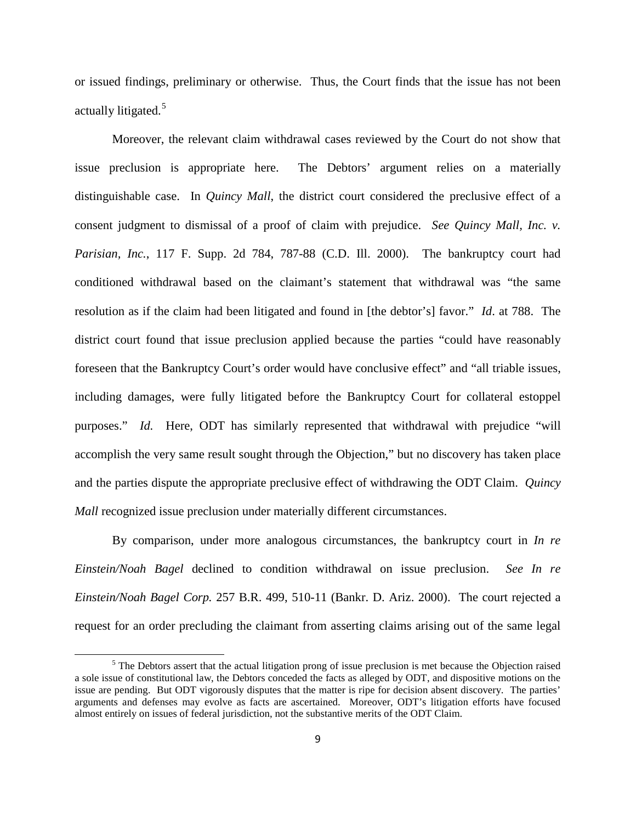or issued findings, preliminary or otherwise. Thus, the Court finds that the issue has not been actually litigated.<sup>5</sup>

Moreover, the relevant claim withdrawal cases reviewed by the Court do not show that issue preclusion is appropriate here. The Debtors' argument relies on a materially distinguishable case. In *Quincy Mall*, the district court considered the preclusive effect of a consent judgment to dismissal of a proof of claim with prejudice. *See Quincy Mall, Inc. v. Parisian, Inc.*, 117 F. Supp. 2d 784, 787-88 (C.D. Ill. 2000). The bankruptcy court had conditioned withdrawal based on the claimant's statement that withdrawal was "the same resolution as if the claim had been litigated and found in [the debtor's] favor." *Id*. at 788. The district court found that issue preclusion applied because the parties "could have reasonably foreseen that the Bankruptcy Court's order would have conclusive effect" and "all triable issues, including damages, were fully litigated before the Bankruptcy Court for collateral estoppel purposes." *Id.* Here, ODT has similarly represented that withdrawal with prejudice "will accomplish the very same result sought through the Objection," but no discovery has taken place and the parties dispute the appropriate preclusive effect of withdrawing the ODT Claim. *Quincy Mall* recognized issue preclusion under materially different circumstances.

By comparison, under more analogous circumstances, the bankruptcy court in *In re Einstein/Noah Bagel* declined to condition withdrawal on issue preclusion. *See In re Einstein/Noah Bagel Corp.* 257 B.R. 499, 510-11 (Bankr. D. Ariz. 2000). The court rejected a request for an order precluding the claimant from asserting claims arising out of the same legal

l

<sup>&</sup>lt;sup>5</sup> The Debtors assert that the actual litigation prong of issue preclusion is met because the Objection raised a sole issue of constitutional law, the Debtors conceded the facts as alleged by ODT, and dispositive motions on the issue are pending. But ODT vigorously disputes that the matter is ripe for decision absent discovery. The parties' arguments and defenses may evolve as facts are ascertained. Moreover, ODT's litigation efforts have focused almost entirely on issues of federal jurisdiction, not the substantive merits of the ODT Claim.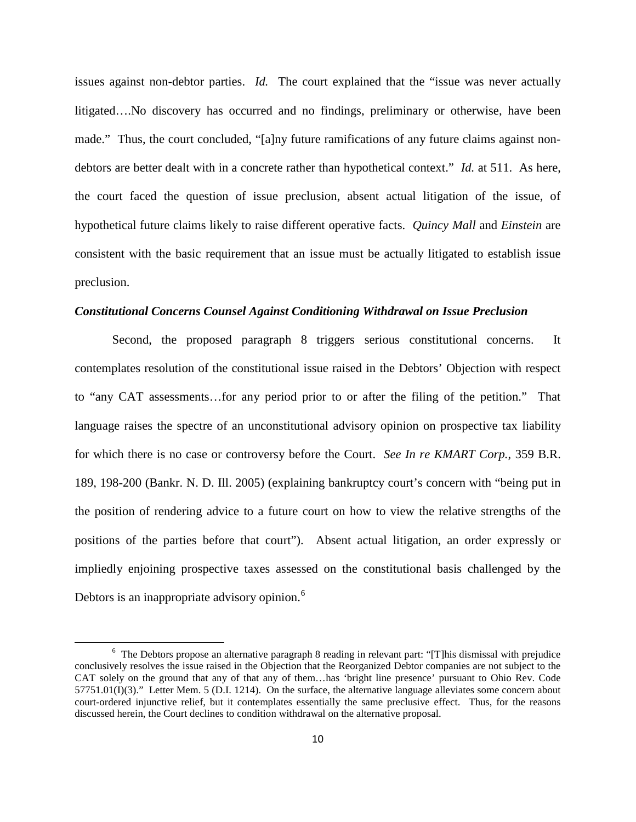issues against non-debtor parties. *Id.* The court explained that the "issue was never actually litigated….No discovery has occurred and no findings, preliminary or otherwise, have been made." Thus, the court concluded, "[a]ny future ramifications of any future claims against nondebtors are better dealt with in a concrete rather than hypothetical context." *Id.* at 511. As here, the court faced the question of issue preclusion, absent actual litigation of the issue, of hypothetical future claims likely to raise different operative facts. *Quincy Mall* and *Einstein* are consistent with the basic requirement that an issue must be actually litigated to establish issue preclusion.

#### *Constitutional Concerns Counsel Against Conditioning Withdrawal on Issue Preclusion*

Second, the proposed paragraph 8 triggers serious constitutional concerns. It contemplates resolution of the constitutional issue raised in the Debtors' Objection with respect to "any CAT assessments…for any period prior to or after the filing of the petition." That language raises the spectre of an unconstitutional advisory opinion on prospective tax liability for which there is no case or controversy before the Court. *See In re KMART Corp.*, 359 B.R. 189, 198-200 (Bankr. N. D. Ill. 2005) (explaining bankruptcy court's concern with "being put in the position of rendering advice to a future court on how to view the relative strengths of the positions of the parties before that court"). Absent actual litigation, an order expressly or impliedly enjoining prospective taxes assessed on the constitutional basis challenged by the Debtors is an inappropriate advisory opinion.<sup>6</sup>

ı

<sup>&</sup>lt;sup>6</sup> The Debtors propose an alternative paragraph 8 reading in relevant part: "[T]his dismissal with prejudice conclusively resolves the issue raised in the Objection that the Reorganized Debtor companies are not subject to the CAT solely on the ground that any of that any of them…has 'bright line presence' pursuant to Ohio Rev. Code 57751.01(I)(3)." Letter Mem. 5 (D.I. 1214). On the surface, the alternative language alleviates some concern about court-ordered injunctive relief, but it contemplates essentially the same preclusive effect. Thus, for the reasons discussed herein, the Court declines to condition withdrawal on the alternative proposal.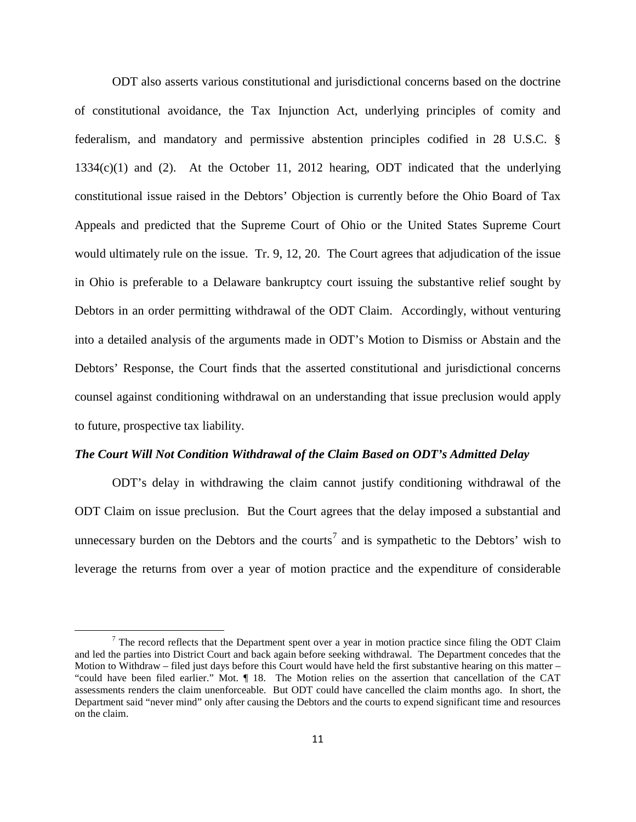ODT also asserts various constitutional and jurisdictional concerns based on the doctrine of constitutional avoidance, the Tax Injunction Act, underlying principles of comity and federalism, and mandatory and permissive abstention principles codified in 28 U.S.C. § 1334(c)(1) and (2). At the October 11, 2012 hearing, ODT indicated that the underlying constitutional issue raised in the Debtors' Objection is currently before the Ohio Board of Tax Appeals and predicted that the Supreme Court of Ohio or the United States Supreme Court would ultimately rule on the issue. Tr. 9, 12, 20. The Court agrees that adjudication of the issue in Ohio is preferable to a Delaware bankruptcy court issuing the substantive relief sought by Debtors in an order permitting withdrawal of the ODT Claim. Accordingly, without venturing into a detailed analysis of the arguments made in ODT's Motion to Dismiss or Abstain and the Debtors' Response, the Court finds that the asserted constitutional and jurisdictional concerns counsel against conditioning withdrawal on an understanding that issue preclusion would apply to future, prospective tax liability.

### *The Court Will Not Condition Withdrawal of the Claim Based on ODT's Admitted Delay*

ODT's delay in withdrawing the claim cannot justify conditioning withdrawal of the ODT Claim on issue preclusion. But the Court agrees that the delay imposed a substantial and unnecessary burden on the Debtors and the courts<sup>7</sup> and is sympathetic to the Debtors' wish to leverage the returns from over a year of motion practice and the expenditure of considerable

 $\overline{\phantom{0}}$ 

 $7$  The record reflects that the Department spent over a year in motion practice since filing the ODT Claim and led the parties into District Court and back again before seeking withdrawal. The Department concedes that the Motion to Withdraw – filed just days before this Court would have held the first substantive hearing on this matter – "could have been filed earlier." Mot. ¶ 18. The Motion relies on the assertion that cancellation of the CAT assessments renders the claim unenforceable. But ODT could have cancelled the claim months ago. In short, the Department said "never mind" only after causing the Debtors and the courts to expend significant time and resources on the claim.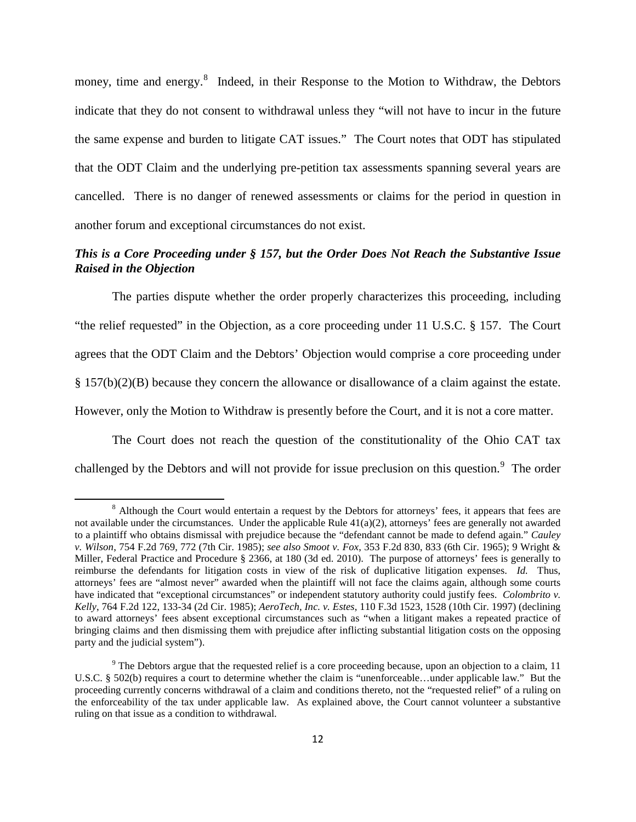money, time and energy.<sup>8</sup> Indeed, in their Response to the Motion to Withdraw, the Debtors indicate that they do not consent to withdrawal unless they "will not have to incur in the future the same expense and burden to litigate CAT issues." The Court notes that ODT has stipulated that the ODT Claim and the underlying pre-petition tax assessments spanning several years are cancelled. There is no danger of renewed assessments or claims for the period in question in another forum and exceptional circumstances do not exist.

## *This is a Core Proceeding under § 157, but the Order Does Not Reach the Substantive Issue Raised in the Objection*

The parties dispute whether the order properly characterizes this proceeding, including "the relief requested" in the Objection, as a core proceeding under 11 U.S.C. § 157. The Court agrees that the ODT Claim and the Debtors' Objection would comprise a core proceeding under § 157(b)(2)(B) because they concern the allowance or disallowance of a claim against the estate. However, only the Motion to Withdraw is presently before the Court, and it is not a core matter.

The Court does not reach the question of the constitutionality of the Ohio CAT tax challenged by the Debtors and will not provide for issue preclusion on this question.<sup>9</sup> The order

ı

<sup>&</sup>lt;sup>8</sup> Although the Court would entertain a request by the Debtors for attorneys' fees, it appears that fees are not available under the circumstances. Under the applicable Rule  $41(a)(2)$ , attorneys' fees are generally not awarded to a plaintiff who obtains dismissal with prejudice because the "defendant cannot be made to defend again." *Cauley v. Wilson*, 754 F.2d 769, 772 (7th Cir. 1985); *see also Smoot v. Fox*, 353 F.2d 830, 833 (6th Cir. 1965); 9 Wright & Miller, Federal Practice and Procedure § 2366, at 180 (3d ed. 2010). The purpose of attorneys' fees is generally to reimburse the defendants for litigation costs in view of the risk of duplicative litigation expenses. *Id.* Thus, attorneys' fees are "almost never" awarded when the plaintiff will not face the claims again, although some courts have indicated that "exceptional circumstances" or independent statutory authority could justify fees. *Colombrito v. Kelly*, 764 F.2d 122, 133-34 (2d Cir. 1985); *AeroTech, Inc. v. Estes*, 110 F.3d 1523, 1528 (10th Cir. 1997) (declining to award attorneys' fees absent exceptional circumstances such as "when a litigant makes a repeated practice of bringing claims and then dismissing them with prejudice after inflicting substantial litigation costs on the opposing party and the judicial system").

<sup>&</sup>lt;sup>9</sup> The Debtors argue that the requested relief is a core proceeding because, upon an objection to a claim, 11 U.S.C. § 502(b) requires a court to determine whether the claim is "unenforceable...under applicable law." But the proceeding currently concerns withdrawal of a claim and conditions thereto, not the "requested relief" of a ruling on the enforceability of the tax under applicable law. As explained above, the Court cannot volunteer a substantive ruling on that issue as a condition to withdrawal.